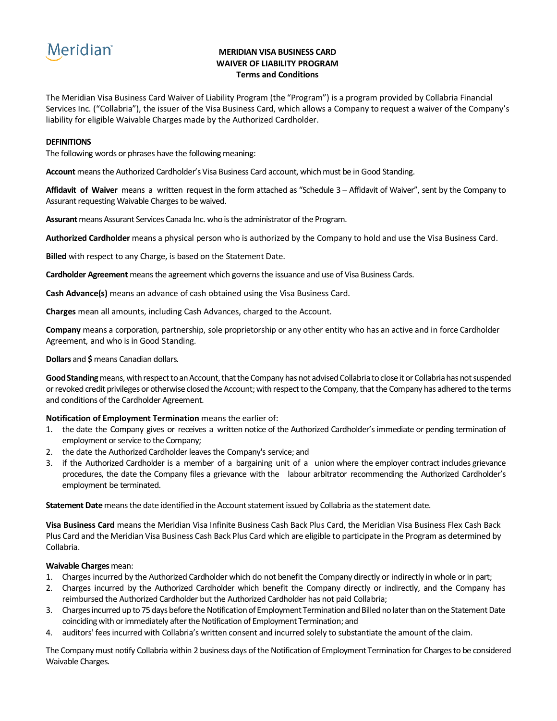## **Meridian**

#### **MERIDIAN VISA BUSINESS CARD WAIVER OF LIABILITY PROGRAM Terms and Conditions**

The Meridian Visa Business Card Waiver of Liability Program (the "Program") is a program provided by Collabria Financial Services Inc. ("Collabria"), the issuer of the Visa Business Card, which allows a Company to request a waiver of the Company's liability for eligible Waivable Charges made by the Authorized Cardholder.

#### **DEFINITIONS**

The following words or phrases have the following meaning:

**Account** means the Authorized Cardholder's Visa Business Card account, which must be in Good Standing.

**Affidavit of Waiver** means a written request in the form attached as "Schedule 3 – Affidavit of Waiver", sent by the Company to Assurant requesting Waivable Charges to be waived.

**Assurant** means Assurant Services Canada Inc. who is the administrator of the Program.

**Authorized Cardholder** means a physical person who is authorized by the Company to hold and use the Visa Business Card.

**Billed** with respect to any Charge, is based on the Statement Date.

**Cardholder Agreement** means the agreement which governs the issuance and use of Visa Business Cards.

**Cash Advance(s)** means an advance of cash obtained using the Visa Business Card.

**Charges** mean all amounts, including Cash Advances, charged to the Account.

**Company** means a corporation, partnership, sole proprietorship or any other entity who has an active and in force Cardholder Agreement, and who is in Good Standing.

**Dollars** and **\$** means Canadian dollars.

Good Standing means, with respect to an Account, that the Company has not advised Collabria to close it or Collabria has not suspended or revoked credit privileges or otherwise closed the Account; with respect to the Company, that the Company has adhered to the terms and conditions of the Cardholder Agreement.

#### **Notification of Employment Termination** means the earlier of:

- 1. the date the Company gives or receives a written notice of the Authorized Cardholder's immediate or pending termination of employment or service to the Company;
- 2. the date the Authorized Cardholder leaves the Company's service; and
- 3. if the Authorized Cardholder is a member of a bargaining unit of a union where the employer contract includes grievance procedures, the date the Company files a grievance with the labour arbitrator recommending the Authorized Cardholder's employment be terminated.

**Statement Date** means the date identified in the Account statement issued by Collabria as the statement date.

**Visa Business Card** means the Meridian Visa Infinite Business Cash Back Plus Card, the Meridian Visa Business Flex Cash Back Plus Card and the Meridian Visa Business Cash Back Plus Card which are eligible to participate in the Program as determined by Collabria.

#### **Waivable Charges**mean:

- 1. Charges incurred by the Authorized Cardholder which do not benefit the Company directly or indirectly in whole or in part;
- 2. Charges incurred by the Authorized Cardholder which benefit the Company directly or indirectly, and the Company has reimbursed the Authorized Cardholder but the Authorized Cardholder has not paid Collabria;
- 3. Charges incurred up to 75 days before the Notification of Employment Termination and Billed no later than on the Statement Date coinciding with or immediately after the Notification of Employment Termination; and
- 4. auditors' fees incurred with Collabria's written consent and incurred solely to substantiate the amount of the claim.

The Company must notify Collabria within 2 business days of the Notification of Employment Termination for Charges to be considered Waivable Charges.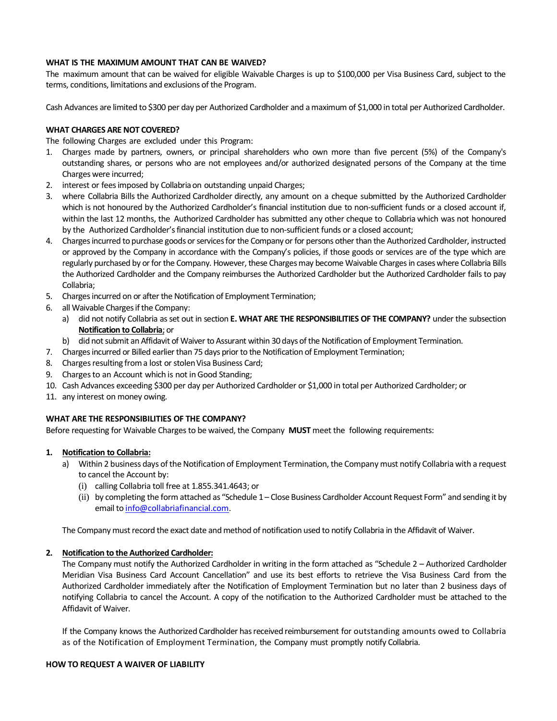#### **WHAT IS THE MAXIMUM AMOUNT THAT CAN BE WAIVED?**

The maximum amount that can be waived for eligible Waivable Charges is up to \$100,000 per Visa Business Card, subject to the terms, conditions, limitations and exclusions of the Program.

Cash Advances are limited to \$300 per day per Authorized Cardholder and a maximum of \$1,000 in total per Authorized Cardholder.

#### **WHAT CHARGES ARE NOT COVERED?**

The following Charges are excluded under this Program:

- 1. Charges made by partners, owners, or principal shareholders who own more than five percent (5%) of the Company's outstanding shares, or persons who are not employees and/or authorized designated persons of the Company at the time Charges were incurred;
- 2. interest or fees imposed by Collabria on outstanding unpaid Charges;
- 3. where Collabria Bills the Authorized Cardholder directly, any amount on a cheque submitted by the Authorized Cardholder which is not honoured by the Authorized Cardholder's financial institution due to non-sufficient funds or a closed account if, within the last 12 months, the Authorized Cardholder has submitted any other cheque to Collabria which was not honoured by the Authorized Cardholder's financial institution due to non-sufficient funds or a closed account;
- 4. Charges incurred to purchase goods or services for the Company or for persons other than the Authorized Cardholder, instructed or approved by the Company in accordance with the Company's policies, if those goods or services are of the type which are regularly purchased by or for the Company. However, these Charges may become Waivable Charges in cases where Collabria Bills the Authorized Cardholder and the Company reimburses the Authorized Cardholder but the Authorized Cardholder fails to pay Collabria;
- 5. Charges incurred on or after the Notification of Employment Termination;
- 6. all Waivable Charges if the Company:
	- a) did not notify Collabria as set out in section **E. WHAT ARE THE RESPONSIBILITIES OF THE COMPANY?** under the subsection **Notification to Collabria**; or
	- b) did not submit an Affidavit of Waiver to Assurant within 30 days of the Notification of Employment Termination.
- 7. Charges incurred or Billed earlier than 75 days prior to the Notification of Employment Termination;
- 8. Charges resulting from a lost or stolen Visa Business Card;
- 9. Charges to an Account which is not in Good Standing;
- 10. Cash Advances exceeding \$300 per day per Authorized Cardholder or \$1,000 in total per Authorized Cardholder; or
- 11. any interest on money owing.

#### **WHAT ARE THE RESPONSIBILITIES OF THE COMPANY?**

Before requesting for Waivable Charges to be waived, the Company **MUST** meet the following requirements:

#### **1. Notification to Collabria:**

- a) Within 2 business days of the Notification of Employment Termination, the Company must notify Collabria with a request to cancel the Account by:
	- (i) calling Collabria toll free at 1.855.341.4643; or
	- (ii) by completing the form attached as "Schedule 1 Close Business Cardholder Account Request Form" and sending it by email to [info@collabriafinancial.com.](mailto:info@collabriafinancial.com)

The Company must record the exact date and method of notification used to notify Collabria in the Affidavit of Waiver.

#### **2. Notification to the Authorized Cardholder:**

The Company must notify the Authorized Cardholder in writing in the form attached as "Schedule 2 – Authorized Cardholder Meridian Visa Business Card Account Cancellation" and use its best efforts to retrieve the Visa Business Card from the Authorized Cardholder immediately after the Notification of Employment Termination but no later than 2 business days of notifying Collabria to cancel the Account. A copy of the notification to the Authorized Cardholder must be attached to the Affidavit of Waiver.

If the Company knows the Authorized Cardholder has received reimbursement for outstanding amounts owed to Collabria as of the Notification of Employment Termination, the Company must promptly notify Collabria.

#### **HOW TO REQUEST A WAIVER OF LIABILITY**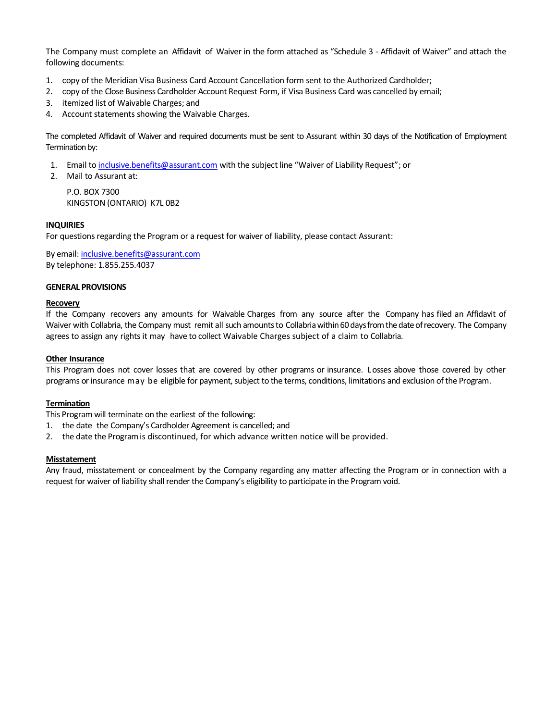The Company must complete an Affidavit of Waiver in the form attached as "Schedule 3 - Affidavit of Waiver" and attach the following documents:

- 1. copy of the Meridian Visa Business Card Account Cancellation form sent to the Authorized Cardholder;
- 2. copy of the Close Business Cardholder Account Request Form, if Visa Business Card was cancelled by email;
- 3. itemized list of Waivable Charges; and
- 4. Account statements showing the Waivable Charges.

The completed Affidavit of Waiver and required documents must be sent to Assurant within 30 days of the Notification of Employment Termination by:

- 1. Email t[o inclusive.benefits@assurant.com](mailto:inclusive.benefits@assurant.com) with the subject line "Waiver of Liability Request"; or
- 2. Mail to Assurant at:

P.O. BOX 7300 KINGSTON (ONTARIO) K7L 0B2

#### **INQUIRIES**

For questions regarding the Program or a request for waiver of liability, please contact Assurant:

By email: [inclusive.benefits@assurant.com](mailto:inclusive.benefits@assurant.com) By telephone: 1.855.255.4037

#### **GENERAL PROVISIONS**

#### **Recovery**

If the Company recovers any amounts for Waivable Charges from any source after the Company has filed an Affidavit of Waiver with Collabria, the Company must remit all such amountsto Collabriawithin 60 days from the date of recovery. The Company agrees to assign any rights it may have to collect Waivable Charges subject of a claim to Collabria.

#### **Other Insurance**

This Program does not cover losses that are covered by other programs or insurance. Losses above those covered by other programs or insurance may be eligible for payment, subject to the terms, conditions, limitations and exclusion of the Program.

#### **Termination**

This Program will terminate on the earliest of the following:

- 1. the date the Company's Cardholder Agreement is cancelled; and
- 2. the date the Programis discontinued, for which advance written notice will be provided.

#### **Misstatement**

Any fraud, misstatement or concealment by the Company regarding any matter affecting the Program or in connection with a request for waiver of liability shall render the Company's eligibility to participate in the Program void.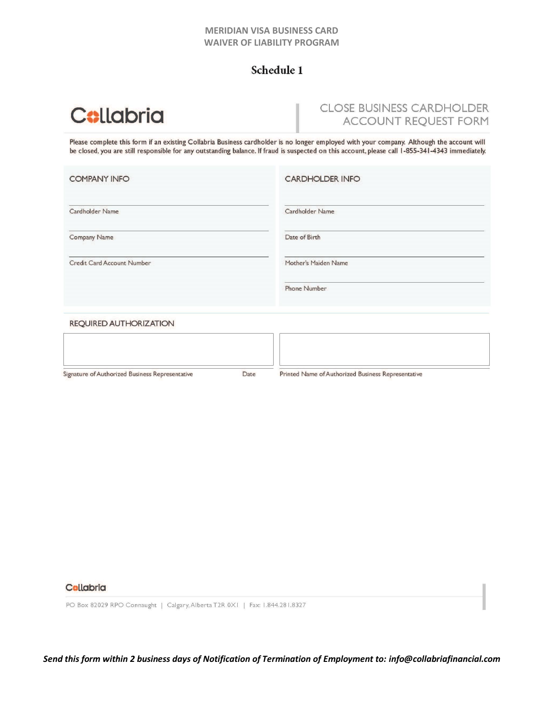#### **MERIDIAN VISA BUSINESS CARD WAIVER OF LIABILITY PROGRAM**

## Schedule 1

# **Collabria**

## **CLOSE BUSINESS CARDHOLDER ACCOUNT REQUEST FORM**

Please complete this form if an existing Collabria Business cardholder is no longer employed with your company. Although the account will be closed, you are still responsible for any outstanding balance. If fraud is suspected on this account, please call 1-855-341-4343 immediately.

| <b>COMPANY INFO</b>           | <b>CARDHOLDER INFO</b> |  |
|-------------------------------|------------------------|--|
| Cardholder Name               | Cardholder Name        |  |
| Company Name                  | Date of Birth          |  |
| Credit Card Account Number    | Mother's Maiden Name   |  |
|                               | <b>Phone Number</b>    |  |
| <b>REQUIRED AUTHORIZATION</b> |                        |  |

| Signature of Authorized Business Representative | Date | Printed Name of Authorized Business Representative |  |
|-------------------------------------------------|------|----------------------------------------------------|--|

#### Collabria

PO Box 82029 RPO Connaught | Calgary, Alberta T2R 0X1 | Fax: 1.844.281.8327

*Send this form within 2 business days of Notification of Termination of Employment to: [info@collabriafinancial.com](mailto:info@collabriafinancial.com)*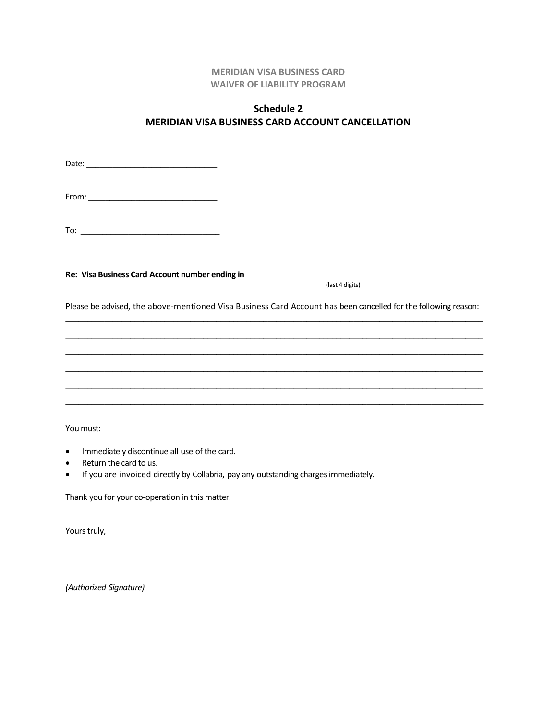#### **MERIDIAN VISA BUSINESS CARD WAIVER OF LIABILITY PROGRAM**

## **Schedule 2 MERIDIAN VISA BUSINESS CARD ACCOUNT CANCELLATION**

| Re: Visa Business Card Account number ending in ________________________________  | (last 4 digits)                                                                                                |
|-----------------------------------------------------------------------------------|----------------------------------------------------------------------------------------------------------------|
|                                                                                   | Please be advised, the above-mentioned Visa Business Card Account has been cancelled for the following reason: |
|                                                                                   |                                                                                                                |
|                                                                                   |                                                                                                                |
|                                                                                   |                                                                                                                |
| ,我们也不能在这里,我们也不能在这里的时候,我们也不能在这里的时候,我们也不能会在这里,我们也不能会在这里的时候,我们也不能会在这里,我们也不能会不能会不能会不  |                                                                                                                |
| ,我们也不能在这里的人,我们也不能在这里的人,我们也不能不能不能不能不能不能不能不能不能不能不能。""我们的人,我们也不能不能不能不能不能不能不能不能不能不能不能 |                                                                                                                |
|                                                                                   |                                                                                                                |
| You must:                                                                         |                                                                                                                |

- Immediately discontinue all use of the card.
- Return the card to us.
- If you are invoiced directly by Collabria, pay any outstanding chargesimmediately.

Thank you for your co-operation in this matter.

Yours truly,

*(Authorized Signature)*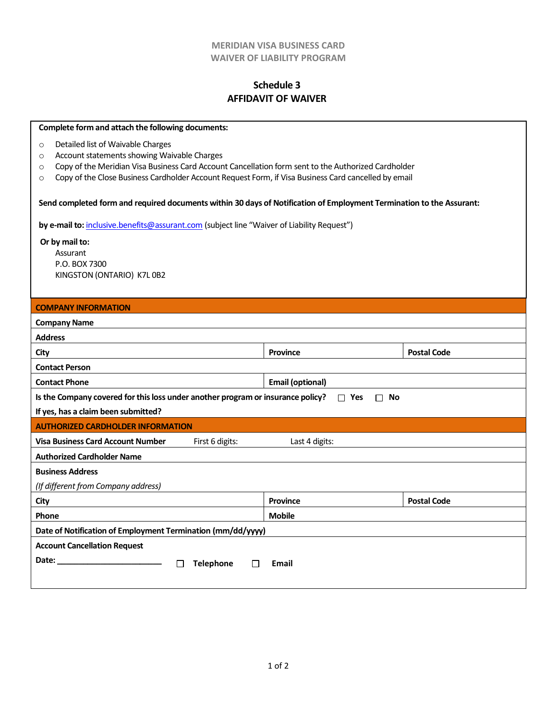#### **MERIDIAN VISA BUSINESS CARD WAIVER OF LIABILITY PROGRAM**

### **Schedule 3 AFFIDAVIT OF WAIVER**

| Complete form and attach the following documents:                                                                    |                         |                    |  |  |  |  |
|----------------------------------------------------------------------------------------------------------------------|-------------------------|--------------------|--|--|--|--|
| Detailed list of Waivable Charges<br>$\circ$                                                                         |                         |                    |  |  |  |  |
| Account statements showing Waivable Charges<br>$\circ$                                                               |                         |                    |  |  |  |  |
| Copy of the Meridian Visa Business Card Account Cancellation form sent to the Authorized Cardholder<br>$\circ$       |                         |                    |  |  |  |  |
| Copy of the Close Business Cardholder Account Request Form, if Visa Business Card cancelled by email<br>$\circ$      |                         |                    |  |  |  |  |
| Send completed form and required documents within 30 days of Notification of Employment Termination to the Assurant: |                         |                    |  |  |  |  |
| by e-mail to: inclusive.benefits@assurant.com (subject line "Waiver of Liability Request")                           |                         |                    |  |  |  |  |
| Or by mail to:                                                                                                       |                         |                    |  |  |  |  |
| Assurant                                                                                                             |                         |                    |  |  |  |  |
| P.O. BOX 7300                                                                                                        |                         |                    |  |  |  |  |
| KINGSTON (ONTARIO) K7L 0B2                                                                                           |                         |                    |  |  |  |  |
|                                                                                                                      |                         |                    |  |  |  |  |
| <b>COMPANY INFORMATION</b>                                                                                           |                         |                    |  |  |  |  |
| <b>Company Name</b>                                                                                                  |                         |                    |  |  |  |  |
| <b>Address</b>                                                                                                       |                         |                    |  |  |  |  |
| City                                                                                                                 | <b>Province</b>         | <b>Postal Code</b> |  |  |  |  |
| <b>Contact Person</b>                                                                                                |                         |                    |  |  |  |  |
| <b>Contact Phone</b>                                                                                                 | <b>Email (optional)</b> |                    |  |  |  |  |
| Is the Company covered for this loss under another program or insurance policy?                                      | $\Box$ Yes<br>$\Box$ No |                    |  |  |  |  |
| If yes, has a claim been submitted?                                                                                  |                         |                    |  |  |  |  |
| <b>AUTHORIZED CARDHOLDER INFORMATION</b>                                                                             |                         |                    |  |  |  |  |
| <b>Visa Business Card Account Number</b><br>First 6 digits:                                                          | Last 4 digits:          |                    |  |  |  |  |
| <b>Authorized Cardholder Name</b>                                                                                    |                         |                    |  |  |  |  |
| <b>Business Address</b>                                                                                              |                         |                    |  |  |  |  |
| (If different from Company address)                                                                                  |                         |                    |  |  |  |  |
| City                                                                                                                 | <b>Province</b>         | <b>Postal Code</b> |  |  |  |  |
| Phone                                                                                                                | <b>Mobile</b>           |                    |  |  |  |  |
| Date of Notification of Employment Termination (mm/dd/yyyy)                                                          |                         |                    |  |  |  |  |
| <b>Account Cancellation Request</b>                                                                                  |                         |                    |  |  |  |  |
| Date:<br><b>Telephone</b><br>Email<br>П<br>$\Box$                                                                    |                         |                    |  |  |  |  |
|                                                                                                                      |                         |                    |  |  |  |  |
|                                                                                                                      |                         |                    |  |  |  |  |